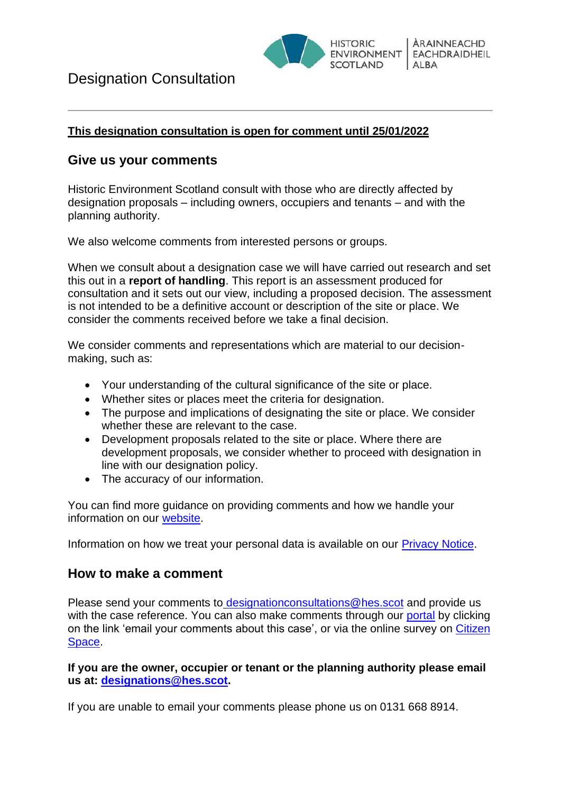

### **This designation consultation is open for comment until 25/01/2022**

## **Give us your comments**

Historic Environment Scotland consult with those who are directly affected by designation proposals – including owners, occupiers and tenants – and with the planning authority.

We also welcome comments from interested persons or groups.

When we consult about a designation case we will have carried out research and set this out in a **report of handling**. This report is an assessment produced for consultation and it sets out our view, including a proposed decision. The assessment is not intended to be a definitive account or description of the site or place. We consider the comments received before we take a final decision.

We consider comments and representations which are material to our decisionmaking, such as:

- Your understanding of the cultural significance of the site or place.
- Whether sites or places meet the criteria for designation.
- The purpose and implications of designating the site or place. We consider whether these are relevant to the case.
- Development proposals related to the site or place. Where there are development proposals, we consider whether to proceed with designation in line with our designation policy.
- The accuracy of our information.

You can find more guidance on providing comments and how we handle your information on our [website.](http://portal.historicenvironment.scot/GUIDANCE)

Information on how we treat your personal data is available on our [Privacy Notice.](http://portal.historicenvironment.scot/privacynotice)

## **How to make a comment**

Please send your comments to [designationconsultations@hes.scot](mailto:designationconsultations@hes.scot) and provide us with the case reference. You can also make comments through our [portal](http://portal.historicenvironment.scot/decision/500002941) by clicking on the link 'email your comments about this case', or via the online survey on [Citizen](https://consultations.historicenvironment.scot/heritage/designating-dundee-repertory-theatre-dundee-rep)  [Space.](https://consultations.historicenvironment.scot/heritage/designating-dundee-repertory-theatre-dundee-rep)

### **If you are the owner, occupier or tenant or the planning authority please email us at: [designations@hes.scot.](mailto:designations@hes.scot)**

If you are unable to email your comments please phone us on 0131 668 8914.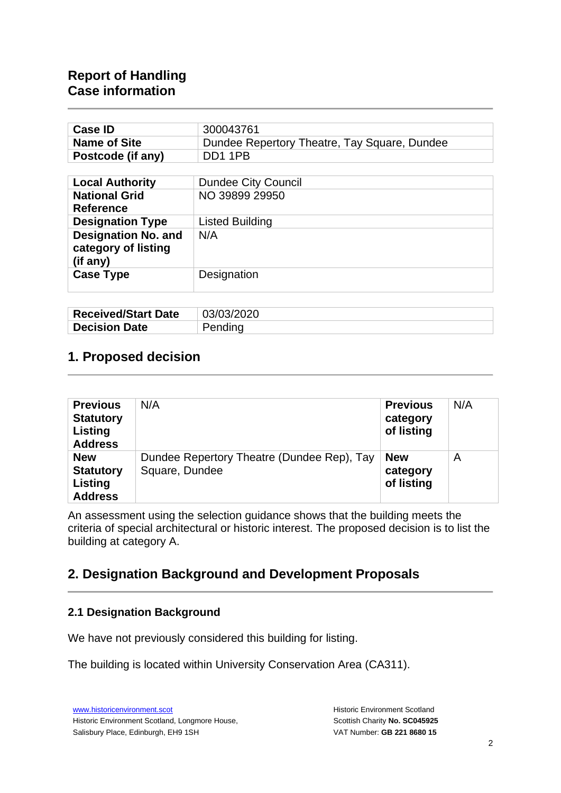| <b>Case ID</b>                                                | 300043761                                    |  |  |
|---------------------------------------------------------------|----------------------------------------------|--|--|
| <b>Name of Site</b>                                           | Dundee Repertory Theatre, Tay Square, Dundee |  |  |
| Postcode (if any)                                             | DD11PB                                       |  |  |
|                                                               |                                              |  |  |
| <b>Local Authority</b>                                        | <b>Dundee City Council</b>                   |  |  |
| <b>National Grid</b>                                          | NO 39899 29950                               |  |  |
| <b>Reference</b>                                              |                                              |  |  |
| <b>Designation Type</b>                                       | <b>Listed Building</b>                       |  |  |
| <b>Designation No. and</b><br>category of listing<br>(if any) | N/A                                          |  |  |
| <b>Case Type</b>                                              | Designation                                  |  |  |

| <b>Received/Start Date</b> | 03/03/2020 |
|----------------------------|------------|
| <b>Decision Date</b>       | Pending    |

## **1. Proposed decision**

| <b>Previous</b><br><b>Statutory</b><br>Listing<br><b>Address</b> | N/A                                                          | <b>Previous</b><br>category<br>of listing | N/A |
|------------------------------------------------------------------|--------------------------------------------------------------|-------------------------------------------|-----|
| <b>New</b><br><b>Statutory</b><br>Listing<br><b>Address</b>      | Dundee Repertory Theatre (Dundee Rep), Tay<br>Square, Dundee | <b>New</b><br>category<br>of listing      | A   |

An assessment using the selection guidance shows that the building meets the criteria of special architectural or historic interest. The proposed decision is to list the building at category A.

# **2. Designation Background and Development Proposals**

#### **2.1 Designation Background**

We have not previously considered this building for listing.

The building is located within University Conservation Area (CA311).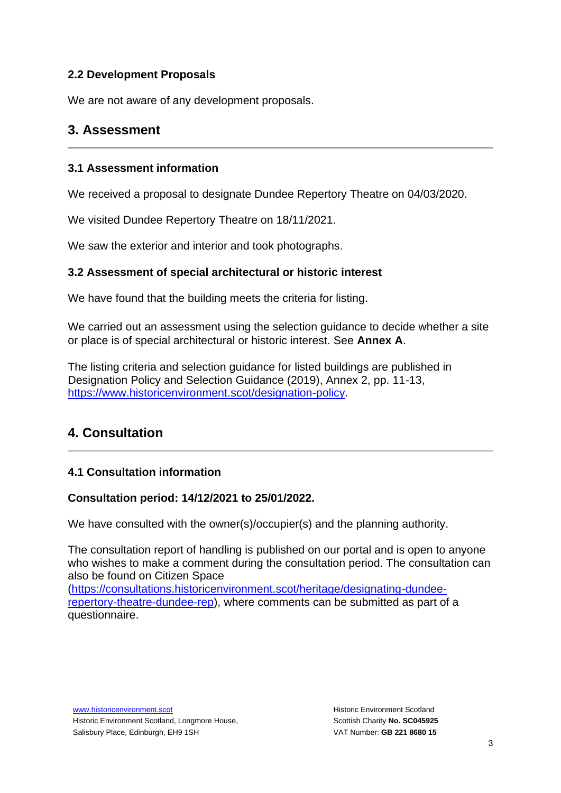### **2.2 Development Proposals**

We are not aware of any development proposals.

## **3. Assessment**

### **3.1 Assessment information**

We received a proposal to designate Dundee Repertory Theatre on 04/03/2020.

We visited Dundee Repertory Theatre on 18/11/2021.

We saw the exterior and interior and took photographs.

### **3.2 Assessment of special architectural or historic interest**

We have found that the building meets the criteria for listing.

We carried out an assessment using the selection guidance to decide whether a site or place is of special architectural or historic interest. See **Annex A**.

The listing criteria and selection guidance for listed buildings are published in Designation Policy and Selection Guidance (2019), Annex 2, pp. 11-13, [https://www.historicenvironment.scot/designation-policy.](https://www.historicenvironment.scot/designation-policy)

# **4. Consultation**

### **4.1 Consultation information**

### **Consultation period: 14/12/2021 to 25/01/2022.**

We have consulted with the owner(s)/occupier(s) and the planning authority.

The consultation report of handling is published on our portal and is open to anyone who wishes to make a comment during the consultation period. The consultation can also be found on Citizen Space

[\(https://consultations.historicenvironment.scot/heritage/designating-dundee](https://consultations.historicenvironment.scot/heritage/designating-dundee-repertory-theatre-dundee-rep)[repertory-theatre-dundee-rep\)](https://consultations.historicenvironment.scot/heritage/designating-dundee-repertory-theatre-dundee-rep), where comments can be submitted as part of a questionnaire.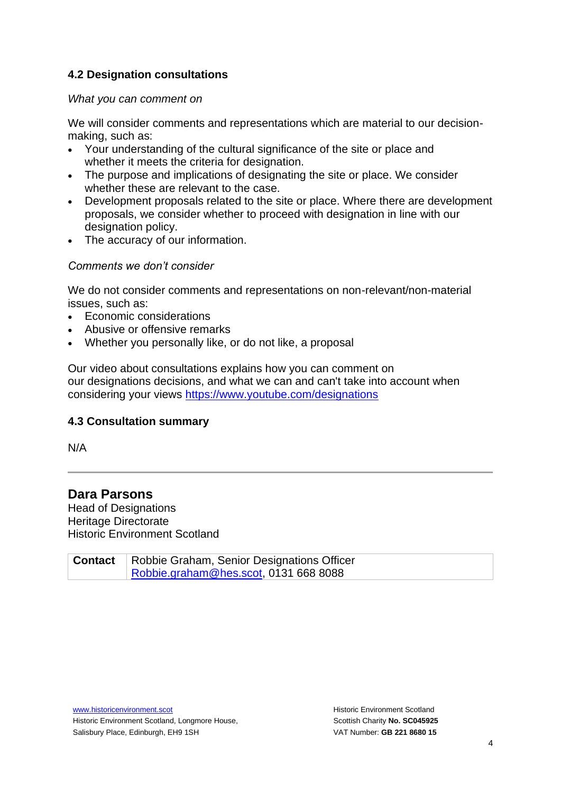### **4.2 Designation consultations**

#### *What you can comment on*

We will consider comments and representations which are material to our decisionmaking, such as:

- Your understanding of the cultural significance of the site or place and whether it meets the criteria for designation.
- The purpose and implications of designating the site or place. We consider whether these are relevant to the case.
- Development proposals related to the site or place. Where there are development proposals, we consider whether to proceed with designation in line with our designation policy.
- The accuracy of our information.

#### *Comments we don't consider*

We do not consider comments and representations on non-relevant/non-material issues, such as:

- Economic considerations
- Abusive or offensive remarks
- Whether you personally like, or do not like, a proposal

Our video about consultations explains how you can comment on our designations decisions, and what we can and can't take into account when considering your views <https://www.youtube.com/designations>

### **4.3 Consultation summary**

N/A

## **Dara Parsons**

Head of Designations Heritage Directorate Historic Environment Scotland

**Contact** | Robbie Graham, Senior Designations Officer [Robbie.graham@hes.scot,](mailto:Robbie.graham@hes.scot) 0131 668 8088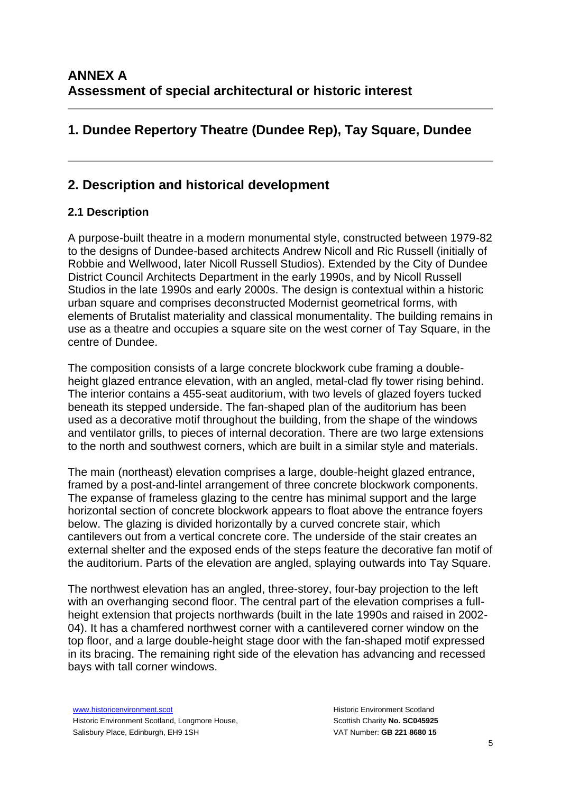# **1. Dundee Repertory Theatre (Dundee Rep), Tay Square, Dundee**

# **2. Description and historical development**

### **2.1 Description**

A purpose-built theatre in a modern monumental style, constructed between 1979-82 to the designs of Dundee-based architects Andrew Nicoll and Ric Russell (initially of Robbie and Wellwood, later Nicoll Russell Studios). Extended by the City of Dundee District Council Architects Department in the early 1990s, and by Nicoll Russell Studios in the late 1990s and early 2000s. The design is contextual within a historic urban square and comprises deconstructed Modernist geometrical forms, with elements of Brutalist materiality and classical monumentality. The building remains in use as a theatre and occupies a square site on the west corner of Tay Square, in the centre of Dundee.

The composition consists of a large concrete blockwork cube framing a doubleheight glazed entrance elevation, with an angled, metal-clad fly tower rising behind. The interior contains a 455-seat auditorium, with two levels of glazed foyers tucked beneath its stepped underside. The fan-shaped plan of the auditorium has been used as a decorative motif throughout the building, from the shape of the windows and ventilator grills, to pieces of internal decoration. There are two large extensions to the north and southwest corners, which are built in a similar style and materials.

The main (northeast) elevation comprises a large, double-height glazed entrance, framed by a post-and-lintel arrangement of three concrete blockwork components. The expanse of frameless glazing to the centre has minimal support and the large horizontal section of concrete blockwork appears to float above the entrance foyers below. The glazing is divided horizontally by a curved concrete stair, which cantilevers out from a vertical concrete core. The underside of the stair creates an external shelter and the exposed ends of the steps feature the decorative fan motif of the auditorium. Parts of the elevation are angled, splaying outwards into Tay Square.

The northwest elevation has an angled, three-storey, four-bay projection to the left with an overhanging second floor. The central part of the elevation comprises a fullheight extension that projects northwards (built in the late 1990s and raised in 2002- 04). It has a chamfered northwest corner with a cantilevered corner window on the top floor, and a large double-height stage door with the fan-shaped motif expressed in its bracing. The remaining right side of the elevation has advancing and recessed bays with tall corner windows.

[www.historicenvironment.scot](http://www.historicenvironment.scot/) Historic Environment Scotland, Longmore House, Salisbury Place, Edinburgh, EH9 1SH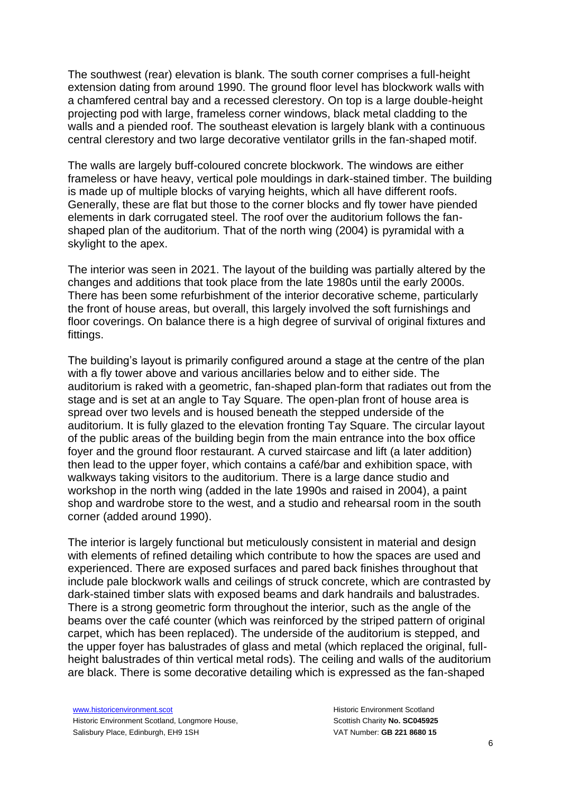The southwest (rear) elevation is blank. The south corner comprises a full-height extension dating from around 1990. The ground floor level has blockwork walls with a chamfered central bay and a recessed clerestory. On top is a large double-height projecting pod with large, frameless corner windows, black metal cladding to the walls and a piended roof. The southeast elevation is largely blank with a continuous central clerestory and two large decorative ventilator grills in the fan-shaped motif.

The walls are largely buff-coloured concrete blockwork. The windows are either frameless or have heavy, vertical pole mouldings in dark-stained timber. The building is made up of multiple blocks of varying heights, which all have different roofs. Generally, these are flat but those to the corner blocks and fly tower have piended elements in dark corrugated steel. The roof over the auditorium follows the fanshaped plan of the auditorium. That of the north wing (2004) is pyramidal with a skylight to the apex.

The interior was seen in 2021. The layout of the building was partially altered by the changes and additions that took place from the late 1980s until the early 2000s. There has been some refurbishment of the interior decorative scheme, particularly the front of house areas, but overall, this largely involved the soft furnishings and floor coverings. On balance there is a high degree of survival of original fixtures and fittings.

The building's layout is primarily configured around a stage at the centre of the plan with a fly tower above and various ancillaries below and to either side. The auditorium is raked with a geometric, fan-shaped plan-form that radiates out from the stage and is set at an angle to Tay Square. The open-plan front of house area is spread over two levels and is housed beneath the stepped underside of the auditorium. It is fully glazed to the elevation fronting Tay Square. The circular layout of the public areas of the building begin from the main entrance into the box office foyer and the ground floor restaurant. A curved staircase and lift (a later addition) then lead to the upper foyer, which contains a café/bar and exhibition space, with walkways taking visitors to the auditorium. There is a large dance studio and workshop in the north wing (added in the late 1990s and raised in 2004), a paint shop and wardrobe store to the west, and a studio and rehearsal room in the south corner (added around 1990).

The interior is largely functional but meticulously consistent in material and design with elements of refined detailing which contribute to how the spaces are used and experienced. There are exposed surfaces and pared back finishes throughout that include pale blockwork walls and ceilings of struck concrete, which are contrasted by dark-stained timber slats with exposed beams and dark handrails and balustrades. There is a strong geometric form throughout the interior, such as the angle of the beams over the café counter (which was reinforced by the striped pattern of original carpet, which has been replaced). The underside of the auditorium is stepped, and the upper foyer has balustrades of glass and metal (which replaced the original, fullheight balustrades of thin vertical metal rods). The ceiling and walls of the auditorium are black. There is some decorative detailing which is expressed as the fan-shaped

[www.historicenvironment.scot](http://www.historicenvironment.scot/) Historic Environment Scotland, Longmore House, Salisbury Place, Edinburgh, EH9 1SH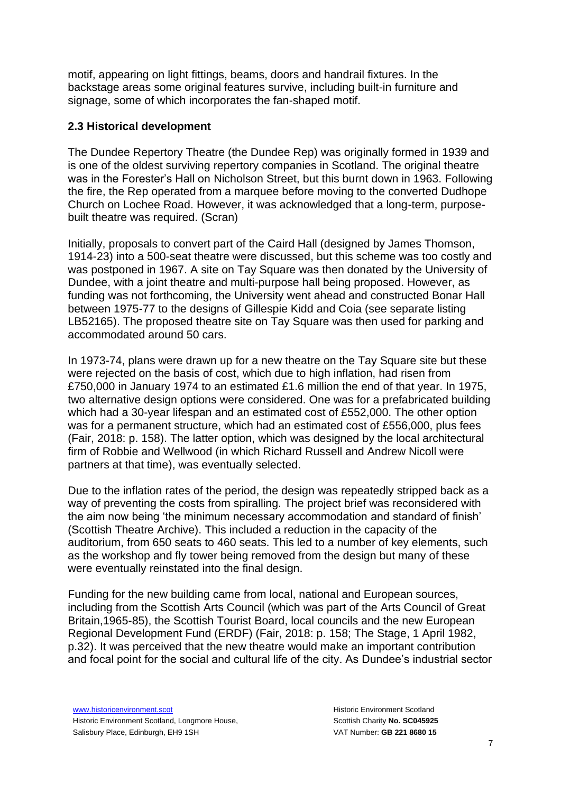motif, appearing on light fittings, beams, doors and handrail fixtures. In the backstage areas some original features survive, including built-in furniture and signage, some of which incorporates the fan-shaped motif.

#### **2.3 Historical development**

The Dundee Repertory Theatre (the Dundee Rep) was originally formed in 1939 and is one of the oldest surviving repertory companies in Scotland. The original theatre was in the Forester's Hall on Nicholson Street, but this burnt down in 1963. Following the fire, the Rep operated from a marquee before moving to the converted Dudhope Church on Lochee Road. However, it was acknowledged that a long-term, purposebuilt theatre was required. (Scran)

Initially, proposals to convert part of the Caird Hall (designed by James Thomson, 1914-23) into a 500-seat theatre were discussed, but this scheme was too costly and was postponed in 1967. A site on Tay Square was then donated by the University of Dundee, with a joint theatre and multi-purpose hall being proposed. However, as funding was not forthcoming, the University went ahead and constructed Bonar Hall between 1975-77 to the designs of Gillespie Kidd and Coia (see separate listing LB52165). The proposed theatre site on Tay Square was then used for parking and accommodated around 50 cars.

In 1973-74, plans were drawn up for a new theatre on the Tay Square site but these were rejected on the basis of cost, which due to high inflation, had risen from £750,000 in January 1974 to an estimated £1.6 million the end of that year. In 1975, two alternative design options were considered. One was for a prefabricated building which had a 30-year lifespan and an estimated cost of £552,000. The other option was for a permanent structure, which had an estimated cost of £556,000, plus fees (Fair, 2018: p. 158). The latter option, which was designed by the local architectural firm of Robbie and Wellwood (in which Richard Russell and Andrew Nicoll were partners at that time), was eventually selected.

Due to the inflation rates of the period, the design was repeatedly stripped back as a way of preventing the costs from spiralling. The project brief was reconsidered with the aim now being 'the minimum necessary accommodation and standard of finish' (Scottish Theatre Archive). This included a reduction in the capacity of the auditorium, from 650 seats to 460 seats. This led to a number of key elements, such as the workshop and fly tower being removed from the design but many of these were eventually reinstated into the final design.

Funding for the new building came from local, national and European sources, including from the Scottish Arts Council (which was part of the Arts Council of Great Britain,1965-85), the Scottish Tourist Board, local councils and the new European Regional Development Fund (ERDF) (Fair, 2018: p. 158; The Stage, 1 April 1982, p.32). It was perceived that the new theatre would make an important contribution and focal point for the social and cultural life of the city. As Dundee's industrial sector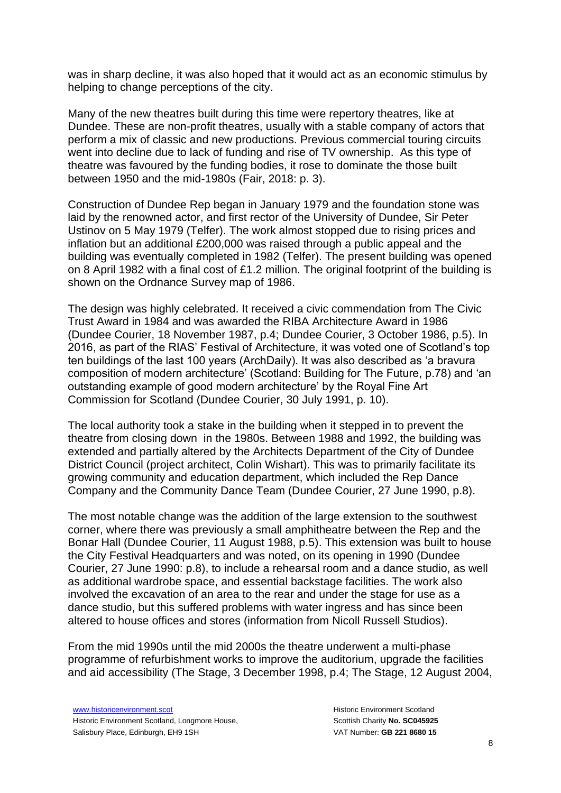was in sharp decline, it was also hoped that it would act as an economic stimulus by helping to change perceptions of the city.

Many of the new theatres built during this time were repertory theatres, like at Dundee. These are non-profit theatres, usually with a stable company of actors that perform a mix of classic and new productions. Previous commercial touring circuits went into decline due to lack of funding and rise of TV ownership. As this type of theatre was favoured by the funding bodies, it rose to dominate the those built between 1950 and the mid-1980s (Fair, 2018: p. 3).

Construction of Dundee Rep began in January 1979 and the foundation stone was laid by the renowned actor, and first rector of the University of Dundee, Sir Peter Ustinov on 5 May 1979 (Telfer). The work almost stopped due to rising prices and inflation but an additional £200,000 was raised through a public appeal and the building was eventually completed in 1982 (Telfer). The present building was opened on 8 April 1982 with a final cost of £1.2 million. The original footprint of the building is shown on the Ordnance Survey map of 1986.

The design was highly celebrated. It received a civic commendation from The Civic Trust Award in 1984 and was awarded the RIBA Architecture Award in 1986 (Dundee Courier, 18 November 1987, p.4; Dundee Courier, 3 October 1986, p.5). In 2016, as part of the RIAS' Festival of Architecture, it was voted one of Scotland's top ten buildings of the last 100 years (ArchDaily). It was also described as 'a bravura composition of modern architecture' (Scotland: Building for The Future, p.78) and 'an outstanding example of good modern architecture' by the Royal Fine Art Commission for Scotland (Dundee Courier, 30 July 1991, p. 10).

The local authority took a stake in the building when it stepped in to prevent the theatre from closing down in the 1980s. Between 1988 and 1992, the building was extended and partially altered by the Architects Department of the City of Dundee District Council (project architect, Colin Wishart). This was to primarily facilitate its growing community and education department, which included the Rep Dance Company and the Community Dance Team (Dundee Courier, 27 June 1990, p.8).

The most notable change was the addition of the large extension to the southwest corner, where there was previously a small amphitheatre between the Rep and the Bonar Hall (Dundee Courier, 11 August 1988, p.5). This extension was built to house the City Festival Headquarters and was noted, on its opening in 1990 (Dundee Courier, 27 June 1990: p.8), to include a rehearsal room and a dance studio, as well as additional wardrobe space, and essential backstage facilities. The work also involved the excavation of an area to the rear and under the stage for use as a dance studio, but this suffered problems with water ingress and has since been altered to house offices and stores (information from Nicoll Russell Studios).

From the mid 1990s until the mid 2000s the theatre underwent a multi-phase programme of refurbishment works to improve the auditorium, upgrade the facilities and aid accessibility (The Stage, 3 December 1998, p.4; The Stage, 12 August 2004,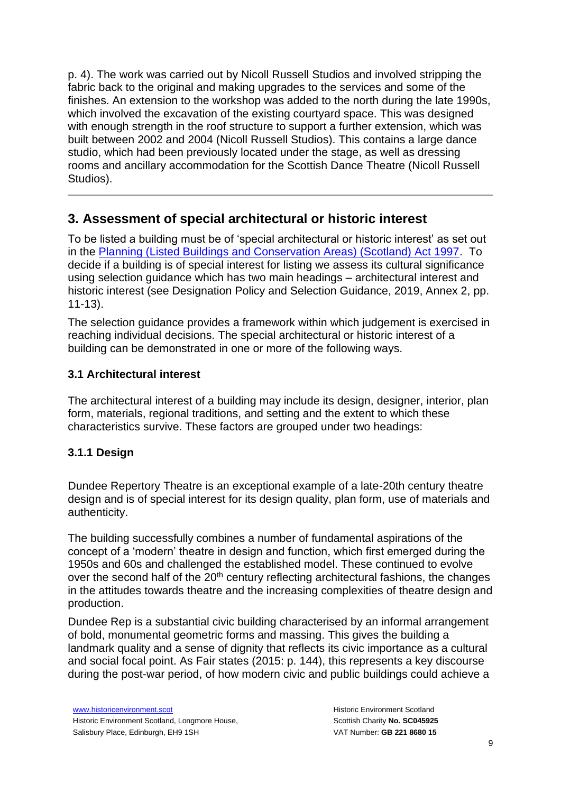p. 4). The work was carried out by Nicoll Russell Studios and involved stripping the fabric back to the original and making upgrades to the services and some of the finishes. An extension to the workshop was added to the north during the late 1990s, which involved the excavation of the existing courtyard space. This was designed with enough strength in the roof structure to support a further extension, which was built between 2002 and 2004 (Nicoll Russell Studios). This contains a large dance studio, which had been previously located under the stage, as well as dressing rooms and ancillary accommodation for the Scottish Dance Theatre (Nicoll Russell Studios).

## **3. Assessment of special architectural or historic interest**

To be listed a building must be of 'special architectural or historic interest' as set out in the [Planning \(Listed Buildings and Conservation Areas\) \(Scotland\) Act 1997.](https://www.legislation.gov.uk/ukpga/1997/9/contents) To decide if a building is of special interest for listing we assess its cultural significance using selection guidance which has two main headings – architectural interest and historic interest (see Designation Policy and Selection Guidance, 2019, Annex 2, pp. 11-13).

The selection guidance provides a framework within which judgement is exercised in reaching individual decisions. The special architectural or historic interest of a building can be demonstrated in one or more of the following ways.

### **3.1 Architectural interest**

The architectural interest of a building may include its design, designer, interior, plan form, materials, regional traditions, and setting and the extent to which these characteristics survive. These factors are grouped under two headings:

### **3.1.1 Design**

Dundee Repertory Theatre is an exceptional example of a late-20th century theatre design and is of special interest for its design quality, plan form, use of materials and authenticity.

The building successfully combines a number of fundamental aspirations of the concept of a 'modern' theatre in design and function, which first emerged during the 1950s and 60s and challenged the established model. These continued to evolve over the second half of the 20<sup>th</sup> century reflecting architectural fashions, the changes in the attitudes towards theatre and the increasing complexities of theatre design and production.

Dundee Rep is a substantial civic building characterised by an informal arrangement of bold, monumental geometric forms and massing. This gives the building a landmark quality and a sense of dignity that reflects its civic importance as a cultural and social focal point. As Fair states (2015: p. 144), this represents a key discourse during the post-war period, of how modern civic and public buildings could achieve a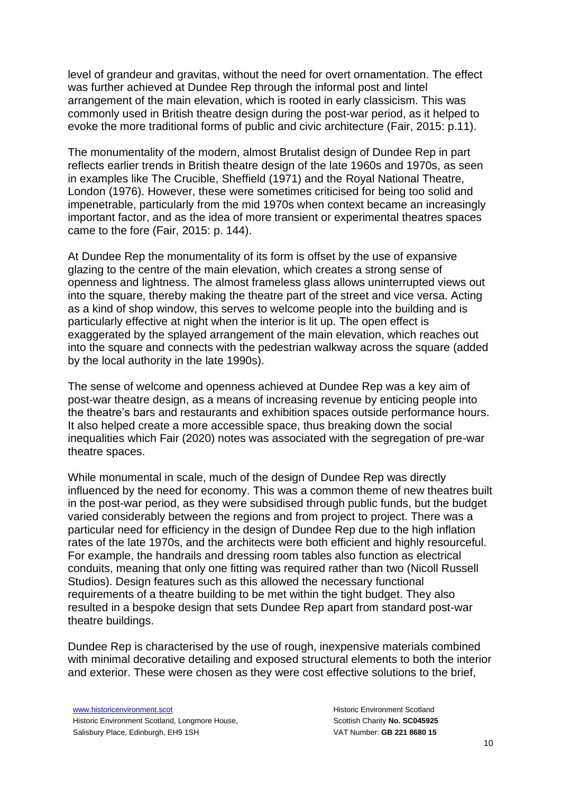level of grandeur and gravitas, without the need for overt ornamentation. The effect was further achieved at Dundee Rep through the informal post and lintel arrangement of the main elevation, which is rooted in early classicism. This was commonly used in British theatre design during the post-war period, as it helped to evoke the more traditional forms of public and civic architecture (Fair, 2015: p.11).

The monumentality of the modern, almost Brutalist design of Dundee Rep in part reflects earlier trends in British theatre design of the late 1960s and 1970s, as seen in examples like The Crucible, Sheffield (1971) and the Royal National Theatre, London (1976). However, these were sometimes criticised for being too solid and impenetrable, particularly from the mid 1970s when context became an increasingly important factor, and as the idea of more transient or experimental theatres spaces came to the fore (Fair, 2015: p. 144).

At Dundee Rep the monumentality of its form is offset by the use of expansive glazing to the centre of the main elevation, which creates a strong sense of openness and lightness. The almost frameless glass allows uninterrupted views out into the square, thereby making the theatre part of the street and vice versa. Acting as a kind of shop window, this serves to welcome people into the building and is particularly effective at night when the interior is lit up. The open effect is exaggerated by the splayed arrangement of the main elevation, which reaches out into the square and connects with the pedestrian walkway across the square (added by the local authority in the late 1990s).

The sense of welcome and openness achieved at Dundee Rep was a key aim of post-war theatre design, as a means of increasing revenue by enticing people into the theatre's bars and restaurants and exhibition spaces outside performance hours. It also helped create a more accessible space, thus breaking down the social inequalities which Fair (2020) notes was associated with the segregation of pre-war theatre spaces.

While monumental in scale, much of the design of Dundee Rep was directly influenced by the need for economy. This was a common theme of new theatres built in the post-war period, as they were subsidised through public funds, but the budget varied considerably between the regions and from project to project. There was a particular need for efficiency in the design of Dundee Rep due to the high inflation rates of the late 1970s, and the architects were both efficient and highly resourceful. For example, the handrails and dressing room tables also function as electrical conduits, meaning that only one fitting was required rather than two (Nicoll Russell Studios). Design features such as this allowed the necessary functional requirements of a theatre building to be met within the tight budget. They also resulted in a bespoke design that sets Dundee Rep apart from standard post-war theatre buildings.

Dundee Rep is characterised by the use of rough, inexpensive materials combined with minimal decorative detailing and exposed structural elements to both the interior and exterior. These were chosen as they were cost effective solutions to the brief,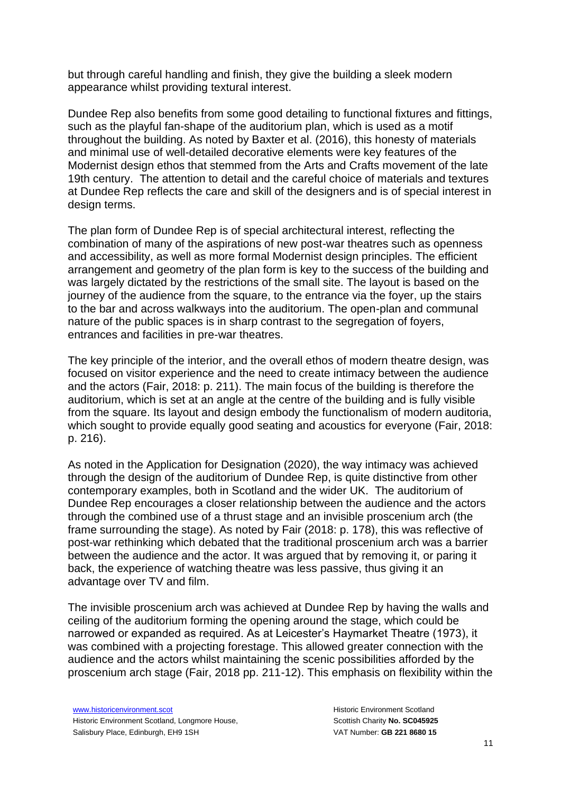but through careful handling and finish, they give the building a sleek modern appearance whilst providing textural interest.

Dundee Rep also benefits from some good detailing to functional fixtures and fittings, such as the playful fan-shape of the auditorium plan, which is used as a motif throughout the building. As noted by Baxter et al. (2016), this honesty of materials and minimal use of well-detailed decorative elements were key features of the Modernist design ethos that stemmed from the Arts and Crafts movement of the late 19th century. The attention to detail and the careful choice of materials and textures at Dundee Rep reflects the care and skill of the designers and is of special interest in design terms.

The plan form of Dundee Rep is of special architectural interest, reflecting the combination of many of the aspirations of new post-war theatres such as openness and accessibility, as well as more formal Modernist design principles. The efficient arrangement and geometry of the plan form is key to the success of the building and was largely dictated by the restrictions of the small site. The layout is based on the journey of the audience from the square, to the entrance via the foyer, up the stairs to the bar and across walkways into the auditorium. The open-plan and communal nature of the public spaces is in sharp contrast to the segregation of foyers, entrances and facilities in pre-war theatres.

The key principle of the interior, and the overall ethos of modern theatre design, was focused on visitor experience and the need to create intimacy between the audience and the actors (Fair, 2018: p. 211). The main focus of the building is therefore the auditorium, which is set at an angle at the centre of the building and is fully visible from the square. Its layout and design embody the functionalism of modern auditoria, which sought to provide equally good seating and acoustics for everyone (Fair, 2018: p. 216).

As noted in the Application for Designation (2020), the way intimacy was achieved through the design of the auditorium of Dundee Rep, is quite distinctive from other contemporary examples, both in Scotland and the wider UK. The auditorium of Dundee Rep encourages a closer relationship between the audience and the actors through the combined use of a thrust stage and an invisible proscenium arch (the frame surrounding the stage). As noted by Fair (2018: p. 178), this was reflective of post-war rethinking which debated that the traditional proscenium arch was a barrier between the audience and the actor. It was argued that by removing it, or paring it back, the experience of watching theatre was less passive, thus giving it an advantage over TV and film.

The invisible proscenium arch was achieved at Dundee Rep by having the walls and ceiling of the auditorium forming the opening around the stage, which could be narrowed or expanded as required. As at Leicester's Haymarket Theatre (1973), it was combined with a projecting forestage. This allowed greater connection with the audience and the actors whilst maintaining the scenic possibilities afforded by the proscenium arch stage (Fair, 2018 pp. 211-12). This emphasis on flexibility within the

[www.historicenvironment.scot](http://www.historicenvironment.scot/) Historic Environment Scotland, Longmore House, Salisbury Place, Edinburgh, EH9 1SH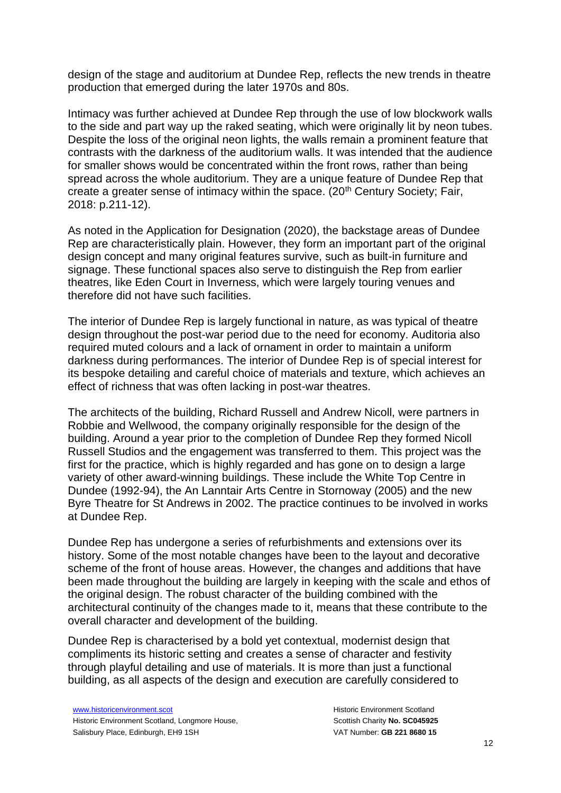design of the stage and auditorium at Dundee Rep, reflects the new trends in theatre production that emerged during the later 1970s and 80s.

Intimacy was further achieved at Dundee Rep through the use of low blockwork walls to the side and part way up the raked seating, which were originally lit by neon tubes. Despite the loss of the original neon lights, the walls remain a prominent feature that contrasts with the darkness of the auditorium walls. It was intended that the audience for smaller shows would be concentrated within the front rows, rather than being spread across the whole auditorium. They are a unique feature of Dundee Rep that create a greater sense of intimacy within the space.  $(20<sup>th</sup>$  Century Society; Fair, 2018: p.211-12).

As noted in the Application for Designation (2020), the backstage areas of Dundee Rep are characteristically plain. However, they form an important part of the original design concept and many original features survive, such as built-in furniture and signage. These functional spaces also serve to distinguish the Rep from earlier theatres, like Eden Court in Inverness, which were largely touring venues and therefore did not have such facilities.

The interior of Dundee Rep is largely functional in nature, as was typical of theatre design throughout the post-war period due to the need for economy. Auditoria also required muted colours and a lack of ornament in order to maintain a uniform darkness during performances. The interior of Dundee Rep is of special interest for its bespoke detailing and careful choice of materials and texture, which achieves an effect of richness that was often lacking in post-war theatres.

The architects of the building, Richard Russell and Andrew Nicoll, were partners in Robbie and Wellwood, the company originally responsible for the design of the building. Around a year prior to the completion of Dundee Rep they formed Nicoll Russell Studios and the engagement was transferred to them. This project was the first for the practice, which is highly regarded and has gone on to design a large variety of other award-winning buildings. These include the White Top Centre in Dundee (1992-94), the An Lanntair Arts Centre in Stornoway (2005) and the new Byre Theatre for St Andrews in 2002. The practice continues to be involved in works at Dundee Rep.

Dundee Rep has undergone a series of refurbishments and extensions over its history. Some of the most notable changes have been to the layout and decorative scheme of the front of house areas. However, the changes and additions that have been made throughout the building are largely in keeping with the scale and ethos of the original design. The robust character of the building combined with the architectural continuity of the changes made to it, means that these contribute to the overall character and development of the building.

Dundee Rep is characterised by a bold yet contextual, modernist design that compliments its historic setting and creates a sense of character and festivity through playful detailing and use of materials. It is more than just a functional building, as all aspects of the design and execution are carefully considered to

[www.historicenvironment.scot](http://www.historicenvironment.scot/) Historic Environment Scotland, Longmore House, Salisbury Place, Edinburgh, EH9 1SH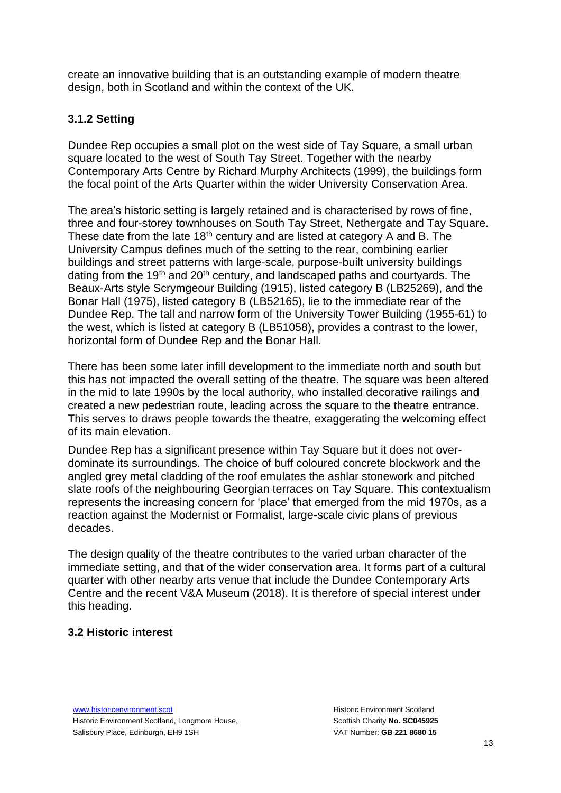create an innovative building that is an outstanding example of modern theatre design, both in Scotland and within the context of the UK.

## **3.1.2 Setting**

Dundee Rep occupies a small plot on the west side of Tay Square, a small urban square located to the west of South Tay Street. Together with the nearby Contemporary Arts Centre by Richard Murphy Architects (1999), the buildings form the focal point of the Arts Quarter within the wider University Conservation Area.

The area's historic setting is largely retained and is characterised by rows of fine, three and four-storey townhouses on South Tay Street, Nethergate and Tay Square. These date from the late  $18<sup>th</sup>$  century and are listed at category A and B. The University Campus defines much of the setting to the rear, combining earlier buildings and street patterns with large-scale, purpose-built university buildings dating from the 19<sup>th</sup> and 20<sup>th</sup> century, and landscaped paths and courtyards. The Beaux-Arts style Scrymgeour Building (1915), listed category B (LB25269), and the Bonar Hall (1975), listed category B (LB52165), lie to the immediate rear of the Dundee Rep. The tall and narrow form of the University Tower Building (1955-61) to the west, which is listed at category B (LB51058), provides a contrast to the lower, horizontal form of Dundee Rep and the Bonar Hall.

There has been some later infill development to the immediate north and south but this has not impacted the overall setting of the theatre. The square was been altered in the mid to late 1990s by the local authority, who installed decorative railings and created a new pedestrian route, leading across the square to the theatre entrance. This serves to draws people towards the theatre, exaggerating the welcoming effect of its main elevation.

Dundee Rep has a significant presence within Tay Square but it does not overdominate its surroundings. The choice of buff coloured concrete blockwork and the angled grey metal cladding of the roof emulates the ashlar stonework and pitched slate roofs of the neighbouring Georgian terraces on Tay Square. This contextualism represents the increasing concern for 'place' that emerged from the mid 1970s, as a reaction against the Modernist or Formalist, large-scale civic plans of previous decades.

The design quality of the theatre contributes to the varied urban character of the immediate setting, and that of the wider conservation area. It forms part of a cultural quarter with other nearby arts venue that include the Dundee Contemporary Arts Centre and the recent V&A Museum (2018). It is therefore of special interest under this heading.

### **3.2 Historic interest**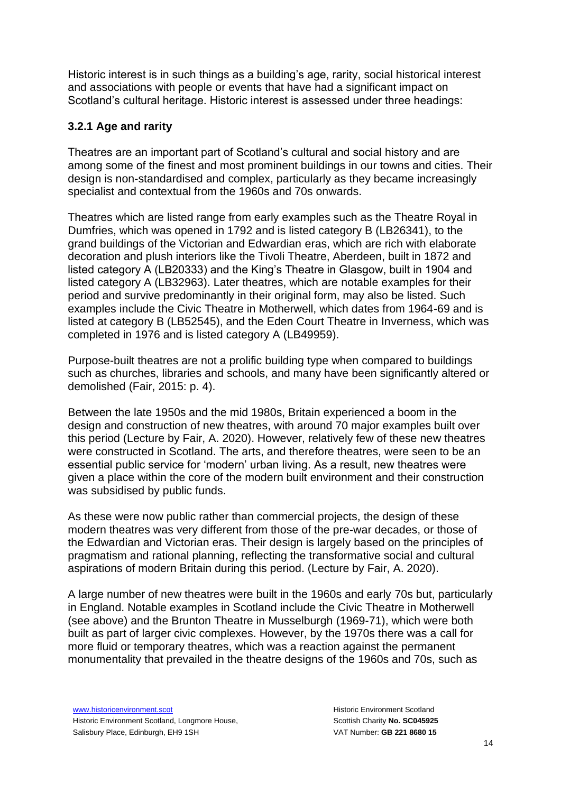Historic interest is in such things as a building's age, rarity, social historical interest and associations with people or events that have had a significant impact on Scotland's cultural heritage. Historic interest is assessed under three headings:

### **3.2.1 Age and rarity**

Theatres are an important part of Scotland's cultural and social history and are among some of the finest and most prominent buildings in our towns and cities. Their design is non-standardised and complex, particularly as they became increasingly specialist and contextual from the 1960s and 70s onwards.

Theatres which are listed range from early examples such as the Theatre Royal in Dumfries, which was opened in 1792 and is listed category B (LB26341), to the grand buildings of the Victorian and Edwardian eras, which are rich with elaborate decoration and plush interiors like the Tivoli Theatre, Aberdeen, built in 1872 and listed category A (LB20333) and the King's Theatre in Glasgow, built in 1904 and listed category A (LB32963). Later theatres, which are notable examples for their period and survive predominantly in their original form, may also be listed. Such examples include the Civic Theatre in Motherwell, which dates from 1964-69 and is listed at category B (LB52545), and the Eden Court Theatre in Inverness, which was completed in 1976 and is listed category A (LB49959).

Purpose-built theatres are not a prolific building type when compared to buildings such as churches, libraries and schools, and many have been significantly altered or demolished (Fair, 2015: p. 4).

Between the late 1950s and the mid 1980s, Britain experienced a boom in the design and construction of new theatres, with around 70 major examples built over this period (Lecture by Fair, A. 2020). However, relatively few of these new theatres were constructed in Scotland. The arts, and therefore theatres, were seen to be an essential public service for 'modern' urban living. As a result, new theatres were given a place within the core of the modern built environment and their construction was subsidised by public funds.

As these were now public rather than commercial projects, the design of these modern theatres was very different from those of the pre-war decades, or those of the Edwardian and Victorian eras. Their design is largely based on the principles of pragmatism and rational planning, reflecting the transformative social and cultural aspirations of modern Britain during this period. (Lecture by Fair, A. 2020).

A large number of new theatres were built in the 1960s and early 70s but, particularly in England. Notable examples in Scotland include the Civic Theatre in Motherwell (see above) and the Brunton Theatre in Musselburgh (1969-71), which were both built as part of larger civic complexes. However, by the 1970s there was a call for more fluid or temporary theatres, which was a reaction against the permanent monumentality that prevailed in the theatre designs of the 1960s and 70s, such as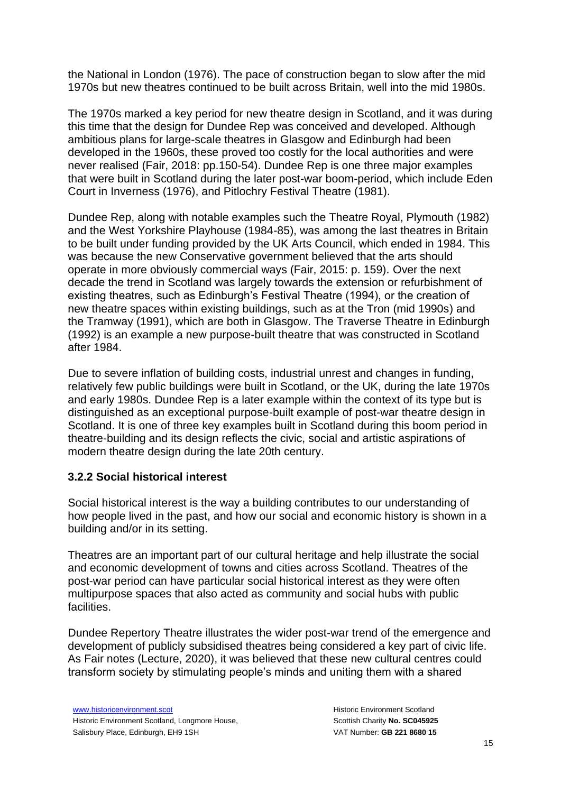the National in London (1976). The pace of construction began to slow after the mid 1970s but new theatres continued to be built across Britain, well into the mid 1980s.

The 1970s marked a key period for new theatre design in Scotland, and it was during this time that the design for Dundee Rep was conceived and developed. Although ambitious plans for large-scale theatres in Glasgow and Edinburgh had been developed in the 1960s, these proved too costly for the local authorities and were never realised (Fair, 2018: pp.150-54). Dundee Rep is one three major examples that were built in Scotland during the later post-war boom-period, which include Eden Court in Inverness (1976), and Pitlochry Festival Theatre (1981).

Dundee Rep, along with notable examples such the Theatre Royal, Plymouth (1982) and the West Yorkshire Playhouse (1984-85), was among the last theatres in Britain to be built under funding provided by the UK Arts Council, which ended in 1984. This was because the new Conservative government believed that the arts should operate in more obviously commercial ways (Fair, 2015: p. 159). Over the next decade the trend in Scotland was largely towards the extension or refurbishment of existing theatres, such as Edinburgh's Festival Theatre (1994), or the creation of new theatre spaces within existing buildings, such as at the Tron (mid 1990s) and the Tramway (1991), which are both in Glasgow. The Traverse Theatre in Edinburgh (1992) is an example a new purpose-built theatre that was constructed in Scotland after 1984.

Due to severe inflation of building costs, industrial unrest and changes in funding, relatively few public buildings were built in Scotland, or the UK, during the late 1970s and early 1980s. Dundee Rep is a later example within the context of its type but is distinguished as an exceptional purpose-built example of post-war theatre design in Scotland. It is one of three key examples built in Scotland during this boom period in theatre-building and its design reflects the civic, social and artistic aspirations of modern theatre design during the late 20th century.

### **3.2.2 Social historical interest**

Social historical interest is the way a building contributes to our understanding of how people lived in the past, and how our social and economic history is shown in a building and/or in its setting.

Theatres are an important part of our cultural heritage and help illustrate the social and economic development of towns and cities across Scotland. Theatres of the post-war period can have particular social historical interest as they were often multipurpose spaces that also acted as community and social hubs with public facilities.

Dundee Repertory Theatre illustrates the wider post-war trend of the emergence and development of publicly subsidised theatres being considered a key part of civic life. As Fair notes (Lecture, 2020), it was believed that these new cultural centres could transform society by stimulating people's minds and uniting them with a shared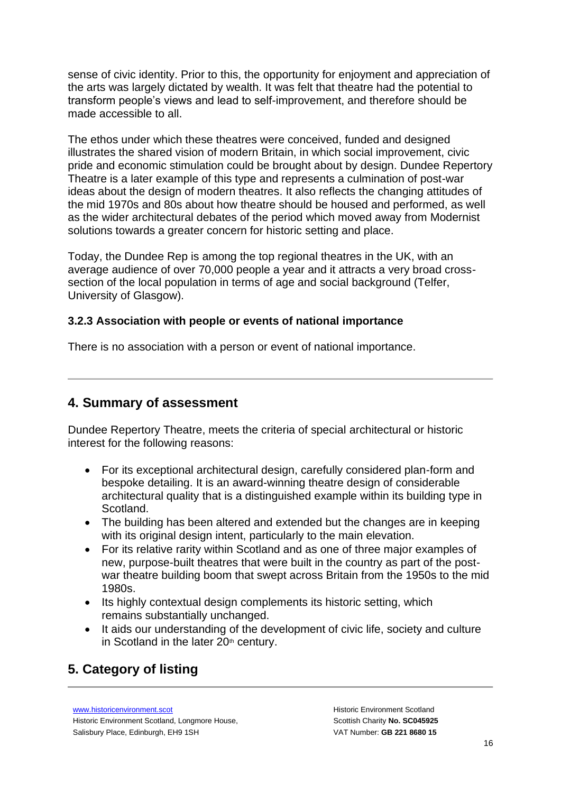sense of civic identity. Prior to this, the opportunity for enjoyment and appreciation of the arts was largely dictated by wealth. It was felt that theatre had the potential to transform people's views and lead to self-improvement, and therefore should be made accessible to all.

The ethos under which these theatres were conceived, funded and designed illustrates the shared vision of modern Britain, in which social improvement, civic pride and economic stimulation could be brought about by design. Dundee Repertory Theatre is a later example of this type and represents a culmination of post-war ideas about the design of modern theatres. It also reflects the changing attitudes of the mid 1970s and 80s about how theatre should be housed and performed, as well as the wider architectural debates of the period which moved away from Modernist solutions towards a greater concern for historic setting and place.

Today, the Dundee Rep is among the top regional theatres in the UK, with an average audience of over 70,000 people a year and it attracts a very broad crosssection of the local population in terms of age and social background (Telfer, University of Glasgow).

### **3.2.3 Association with people or events of national importance**

There is no association with a person or event of national importance.

### **4. Summary of assessment**

Dundee Repertory Theatre, meets the criteria of special architectural or historic interest for the following reasons:

- For its exceptional architectural design, carefully considered plan-form and bespoke detailing. It is an award-winning theatre design of considerable architectural quality that is a distinguished example within its building type in Scotland.
- The building has been altered and extended but the changes are in keeping with its original design intent, particularly to the main elevation.
- For its relative rarity within Scotland and as one of three major examples of new, purpose-built theatres that were built in the country as part of the postwar theatre building boom that swept across Britain from the 1950s to the mid 1980s.
- Its highly contextual design complements its historic setting, which remains substantially unchanged.
- It aids our understanding of the development of civic life, society and culture in Scotland in the later  $20<sup>th</sup>$  century.

# **5. Category of listing**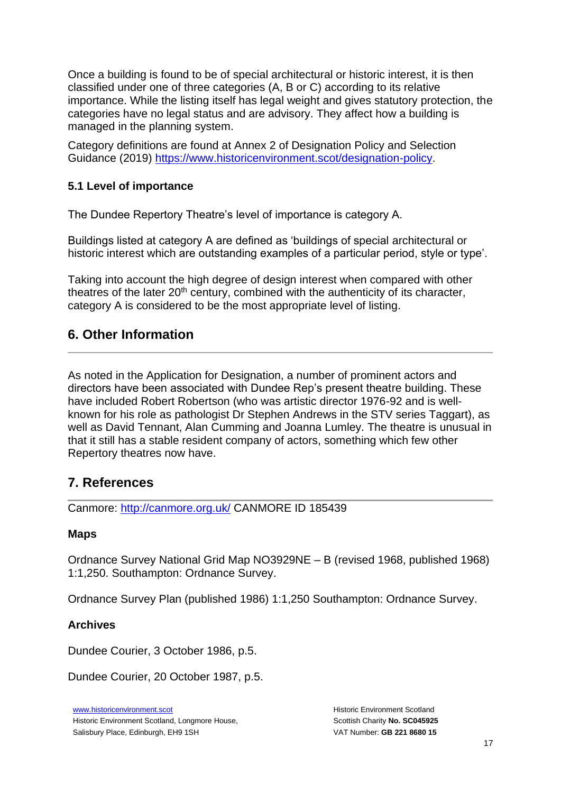Once a building is found to be of special architectural or historic interest, it is then classified under one of three categories (A, B or C) according to its relative importance. While the listing itself has legal weight and gives statutory protection, the categories have no legal status and are advisory. They affect how a building is managed in the planning system.

Category definitions are found at Annex 2 of Designation Policy and Selection Guidance (2019) [https://www.historicenvironment.scot/designation-policy.](https://www.historicenvironment.scot/designation-policy)

### **5.1 Level of importance**

The Dundee Repertory Theatre's level of importance is category A.

Buildings listed at category A are defined as 'buildings of special architectural or historic interest which are outstanding examples of a particular period, style or type'.

Taking into account the high degree of design interest when compared with other theatres of the later  $20<sup>th</sup>$  century, combined with the authenticity of its character, category A is considered to be the most appropriate level of listing.

## **6. Other Information**

As noted in the Application for Designation, a number of prominent actors and directors have been associated with Dundee Rep's present theatre building. These have included Robert Robertson (who was artistic director 1976-92 and is wellknown for his role as pathologist Dr Stephen Andrews in the STV series Taggart), as well as David Tennant, Alan Cumming and Joanna Lumley. The theatre is unusual in that it still has a stable resident company of actors, something which few other Repertory theatres now have.

## **7. References**

Canmore:<http://canmore.org.uk/> CANMORE ID 185439

#### **Maps**

Ordnance Survey National Grid Map NO3929NE – B (revised 1968, published 1968) 1:1,250. Southampton: Ordnance Survey.

Ordnance Survey Plan (published 1986) 1:1,250 Southampton: Ordnance Survey.

### **Archives**

Dundee Courier, 3 October 1986, p.5.

Dundee Courier, 20 October 1987, p.5.

[www.historicenvironment.scot](http://www.historicenvironment.scot/) Historic Environment Scotland, Longmore House, Salisbury Place, Edinburgh, EH9 1SH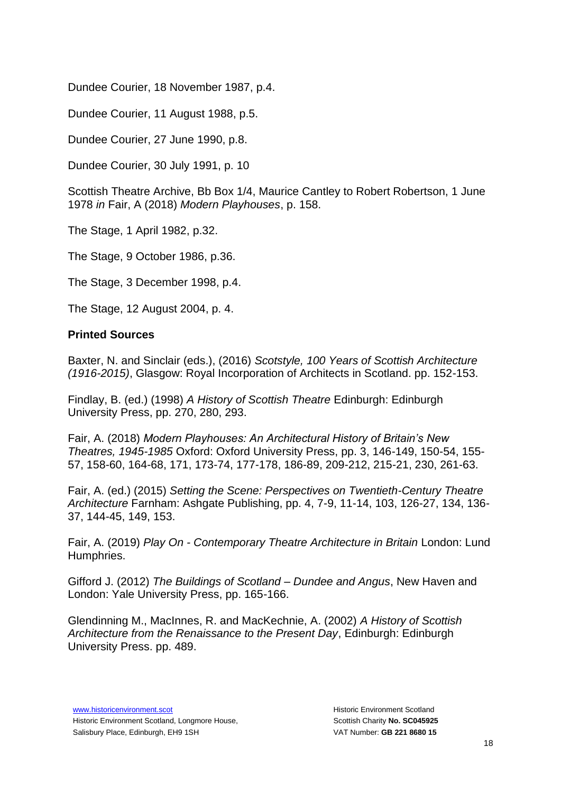Dundee Courier, 18 November 1987, p.4.

Dundee Courier, 11 August 1988, p.5.

Dundee Courier, 27 June 1990, p.8.

Dundee Courier, 30 July 1991, p. 10

Scottish Theatre Archive, Bb Box 1/4, Maurice Cantley to Robert Robertson, 1 June 1978 *in* Fair, A (2018) *Modern Playhouses*, p. 158.

The Stage, 1 April 1982, p.32.

The Stage, 9 October 1986, p.36.

The Stage, 3 December 1998, p.4.

The Stage, 12 August 2004, p. 4.

### **Printed Sources**

Baxter, N. and Sinclair (eds.), (2016) *Scotstyle, 100 Years of Scottish Architecture (1916-2015)*, Glasgow: Royal Incorporation of Architects in Scotland. pp. 152-153.

Findlay, B. (ed.) (1998) *A History of Scottish Theatre* Edinburgh: Edinburgh University Press, pp. 270, 280, 293.

Fair, A. (2018) *Modern Playhouses: An Architectural History of Britain's New Theatres, 1945-1985* Oxford: Oxford University Press, pp. 3, 146-149, 150-54, 155- 57, 158-60, 164-68, 171, 173-74, 177-178, 186-89, 209-212, 215-21, 230, 261-63.

Fair, A. (ed.) (2015) *Setting the Scene: Perspectives on Twentieth-Century Theatre Architecture* Farnham: Ashgate Publishing, pp. 4, 7-9, 11-14, 103, 126-27, 134, 136- 37, 144-45, 149, 153.

Fair, A. (2019) *Play On - Contemporary Theatre Architecture in Britain* London: Lund Humphries.

Gifford J. (2012) *The Buildings of Scotland – Dundee and Angus*, New Haven and London: Yale University Press, pp. 165-166.

Glendinning M., MacInnes, R. and MacKechnie, A. (2002) *A History of Scottish Architecture from the Renaissance to the Present Day*, Edinburgh: Edinburgh University Press. pp. 489.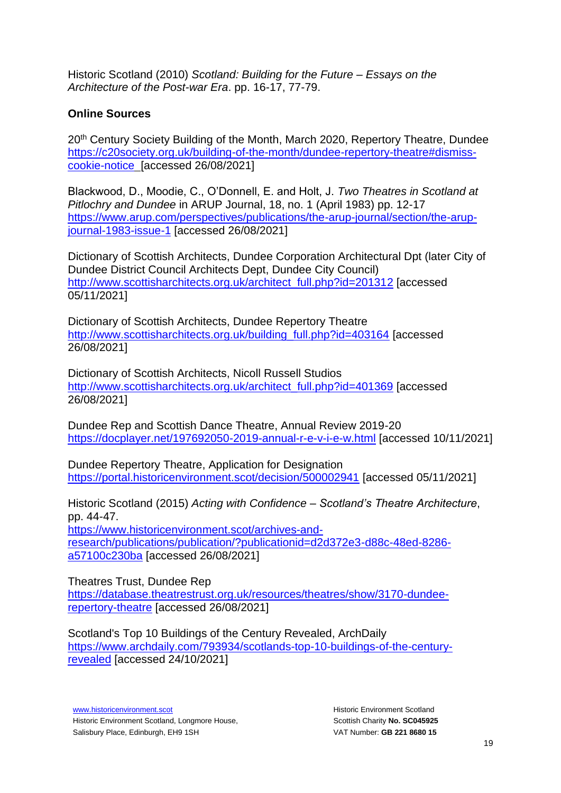Historic Scotland (2010) *Scotland: Building for the Future – Essays on the Architecture of the Post-war Era*. pp. 16-17, 77-79.

### **Online Sources**

20<sup>th</sup> Century Society Building of the Month, March 2020, Repertory Theatre, Dundee [https://c20society.org.uk/building-of-the-month/dundee-repertory-theatre#dismiss](https://c20society.org.uk/building-of-the-month/dundee-repertory-theatre#dismiss-cookie-notice)[cookie-notice](https://c20society.org.uk/building-of-the-month/dundee-repertory-theatre#dismiss-cookie-notice) [accessed 26/08/2021]

Blackwood, D., Moodie, C., O'Donnell, E. and Holt, J. *Two Theatres in Scotland at Pitlochry and Dundee* in ARUP Journal, 18, no. 1 (April 1983) pp. 12-17 [https://www.arup.com/perspectives/publications/the-arup-journal/section/the-arup](https://www.arup.com/perspectives/publications/the-arup-journal/section/the-arup-journal-1983-issue-1)[journal-1983-issue-1](https://www.arup.com/perspectives/publications/the-arup-journal/section/the-arup-journal-1983-issue-1) [accessed 26/08/2021]

Dictionary of Scottish Architects, Dundee Corporation Architectural Dpt (later City of Dundee District Council Architects Dept, Dundee City Council) [http://www.scottisharchitects.org.uk/architect\\_full.php?id=201312](http://www.scottisharchitects.org.uk/architect_full.php?id=201312) [accessed 05/11/2021]

Dictionary of Scottish Architects, Dundee Repertory Theatre [http://www.scottisharchitects.org.uk/building\\_full.php?id=403164](http://www.scottisharchitects.org.uk/building_full.php?id=403164) [accessed 26/08/2021]

Dictionary of Scottish Architects, Nicoll Russell Studios [http://www.scottisharchitects.org.uk/architect\\_full.php?id=401369](http://www.scottisharchitects.org.uk/architect_full.php?id=401369) [accessed 26/08/2021]

Dundee Rep and Scottish Dance Theatre, Annual Review 2019-20 <https://docplayer.net/197692050-2019-annual-r-e-v-i-e-w.html> [accessed 10/11/2021]

Dundee Repertory Theatre, Application for Designation <https://portal.historicenvironment.scot/decision/500002941> [accessed 05/11/2021]

Historic Scotland (2015) *Acting with Confidence – Scotland's Theatre Architecture*, pp. 44-47.

[https://www.historicenvironment.scot/archives-and](https://www.historicenvironment.scot/archives-and-research/publications/publication/?publicationid=d2d372e3-d88c-48ed-8286-a57100c230ba)[research/publications/publication/?publicationid=d2d372e3-d88c-48ed-8286](https://www.historicenvironment.scot/archives-and-research/publications/publication/?publicationid=d2d372e3-d88c-48ed-8286-a57100c230ba) [a57100c230ba](https://www.historicenvironment.scot/archives-and-research/publications/publication/?publicationid=d2d372e3-d88c-48ed-8286-a57100c230ba) [accessed 26/08/2021]

Theatres Trust, Dundee Rep [https://database.theatrestrust.org.uk/resources/theatres/show/3170-dundee](https://database.theatrestrust.org.uk/resources/theatres/show/3170-dundee-repertory-theatre)[repertory-theatre](https://database.theatrestrust.org.uk/resources/theatres/show/3170-dundee-repertory-theatre) [accessed 26/08/2021]

[Scotland's Top 10 Buildings of the Century Revealed, ArchDaily](https://www.archdaily.com/793934/scotlands-top-10-buildings-of-the-century-revealed) [https://www.archdaily.com/793934/scotlands-top-10-buildings-of-the-century](https://www.archdaily.com/793934/scotlands-top-10-buildings-of-the-century-revealed)[revealed](https://www.archdaily.com/793934/scotlands-top-10-buildings-of-the-century-revealed) [accessed 24/10/2021]